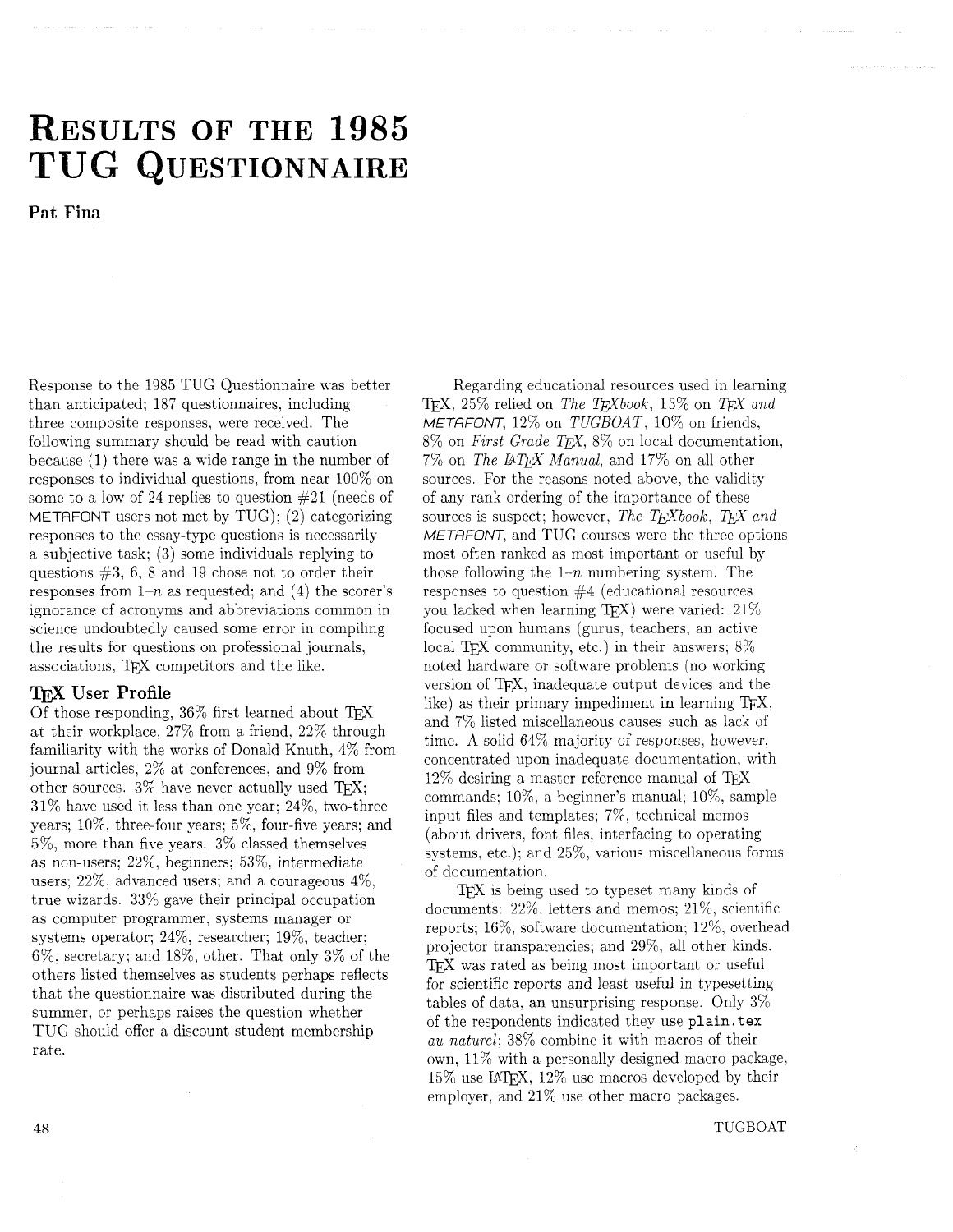# **ESULTS OF THE 1985**  TUG QUESTIONNAIRE

**Pat Fina** 

Response to the 1985 TUG Questionnaire was better than anticipated; 187 questionnaires, including three composite responses, were received. The following summary should be read with caution because (1) there was a wide range in the number of responses to individual questions, from near 100% on some to a low of 24 replies to question #21 (needs of METAFONT users not met by TUG); (2) categorizing responses to the essay-type questions is necessarily a subjective task: (3) some individuals replying to questions #3, 6, 8 and 19 chose not to order their responses from  $1-n$  as requested; and (4) the scorer's ignorance of acronyms and abbreviations common in science undoubtedly caused some error in compiling the results for questions on professional journals, associations, TEX competitors and the like.

#### **TFX User Profile**

Of those responding, 36% first learned about TFX at their workplace, 27% from a friend. 22% through familiarity with the works of Donald Knuth, 4% from journal articles, 2% at conferences, and 9% from other sources.  $3\%$  have never actually used TFX;  $31\%$  have used it less than one year:  $24\%$ , two-three years;  $10\%$ , three-four years;  $5\%$ , four-five years; and 5%, more than five years. 3% classed themselves as non-users; 22%, beginners; *5396,* intermediate users; 22%, advanced users; and a courageous 4%, true wizards. 33% gave their principal occupation as computer programmer, systems manager or systems operator; 24%, researcher; 19%, teacher: 6%, secretary; and 18%, other. That only 3% of the others listed themselves as students perhaps reflects that the questionnaire was distributed during the summer, or perhaps raises the question whether TUG should offer a discount student membership rate.

Regarding educational resources used in learning TFX, 25% relied on The TFXbook, 13% on TFX and METAFONT,  $12\%$  on TUGBOAT,  $10\%$  on friends,  $8\%$  on First Grade TEX,  $8\%$  on local documentation, 7% on The *BQjX* Manual, and 17% on all other sources. For the reasons noted above, the validity of any rank ordering of the importance of these sources is suspect; however, The T<sub>F</sub>Xbook, T<sub>F</sub>X and METAFONT, and TUG courses were the three options most often ranked as most important or useful by those following the  $1-n$  numbering system. The responses to question #4 (educational resources you lacked when learning TFX) were varied:  $21\%$ focused upon humans (gurus, teachers, an active local TFX community, etc.) in their answers;  $8\%$ noted hardware or software problems (no working version of TFX, inadequate output devices and the like) as their primary impediment in learning  $TFX$ , and 7% listed miscellaneous causes such as lack of time. A solid 64% majority of responses, however, concentrated upon inadequate documentation, with 12% desiring a master reference manual of commands;  $10\%$ , a beginner's manual;  $10\%$ , sample input files and templates; 7%, technical memos (about drivers, font files, interfacing to operating systems, etc.); and 25%, various miscellaneous forms of documentation.

TFX is being used to typeset many kinds of documents:  $22\%$ , letters and memos;  $21\%$ , scientific reports; 1670, software documentation; 12%. overhead projector transparencies; and 29%, all other kinds. TFX was rated as being most important or useful for scientific reports and least useful in typesetting tables of data, an unsurprising response. Only 3% of the respondents indicated they use plain. tex au naturel; 38% combine it with macros of their own, 11% with a personally designed macro package,  $15\%$  use IAT<sub>F</sub>X,  $12\%$  use macros developed by their employer, and 21% use other macro packages.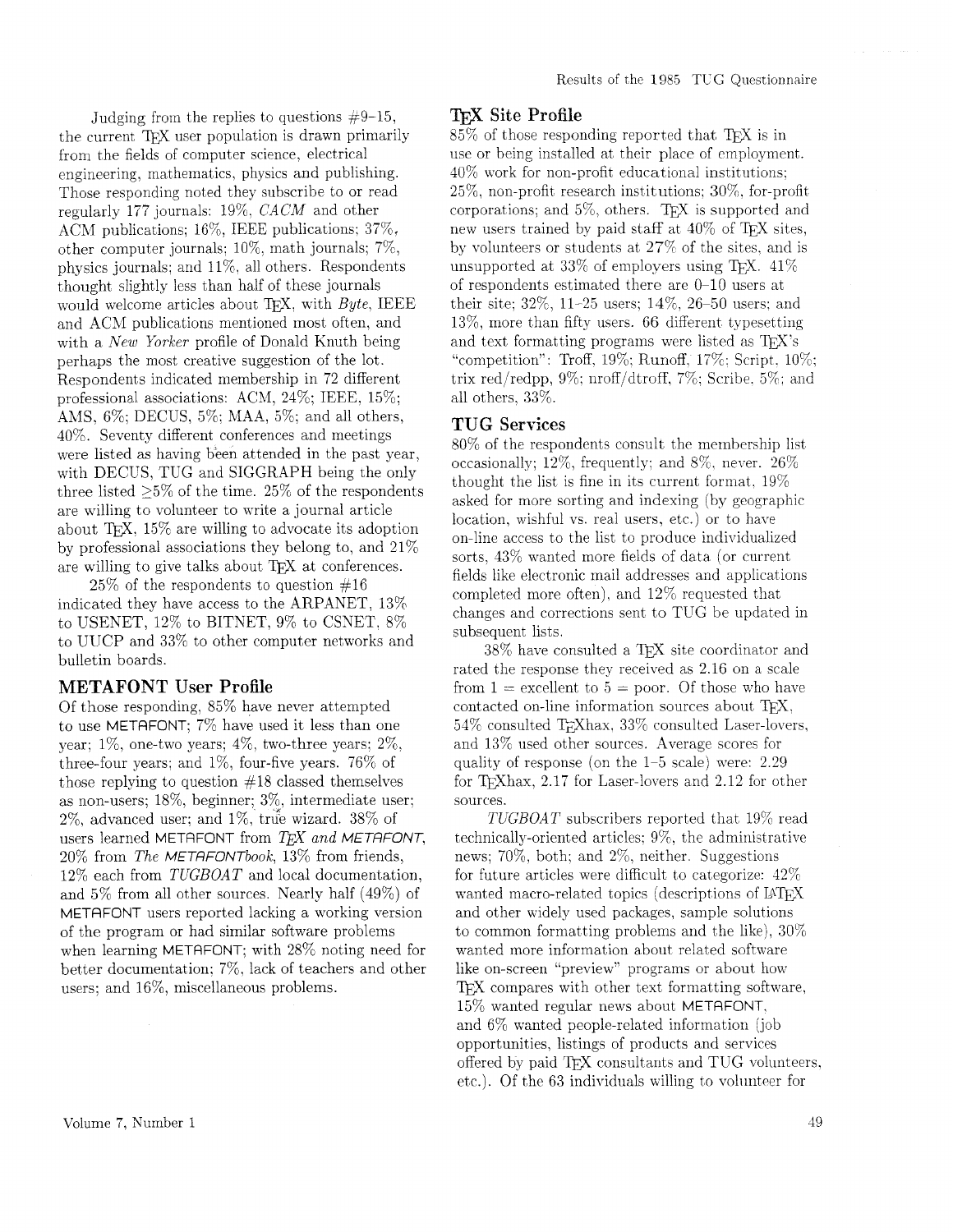Judging from the replies to questions  $\#9-15$ , the current TFX user population is drawn primarily from the fields of computer science, electrical engineering, mathematics, physics and publishing. Those responding noted they subscribe to or read regularly 177 journals: 19%, *CACM* and other ACM publications;  $16\%$ , IEEE publications;  $37\%$ , other computer journals; 10%. math journals; 7%) physics journals; and 11%, all others. Respondents thought slightly less than half of these journals would welcome articles about TFX, with  $Byte$ , IEEE and ACM publications mentioned most often, and with a New Yorker profile of Donald Knuth being perhaps the most creative suggestion of the lot. Respondents indicated membership in 72 different professional associations: ACM,  $24\%$ ; IEEE,  $15\%$ ; AMS. 6%; DECUS, 5%: MAA, 5%; and all others, 40%. Seventy different conferences and meetings were listed as having been attended in the past year, with DECUS, TUG and SIGGRAPH being the only three listed  $>5\%$  of the time. 25% of the respondents are willing to volunteer to write a journal article about TFX,  $15\%$  are willing to advocate its adoption by professional associations they belong to, and 21% are willing to give talks about TFX at conferences.

 $25\%$  of the respondents to question  $\#16$ indicated they have access to the ARPANET, 13% to USENET, 12% to BITXET, 9% to CSNET. 8% to UUCP and 33% to other computer networks and bulletin boards.

## **METAFONT User Profile**

Of those responding, 85% have never attempted to use METAFONT; 7% have used it less than one year;  $1\%$ , one-two years;  $4\%$ , two-three years;  $2\%$ . three-four years; and 1%, four-five years. 76% of those replying to question #18 classed themselves as non-users; 18%, beginner; 3%, intermediate user;  $2\%$ , advanced user; and  $1\%$ , true wizard.  $38\%$  of users learned METAFONT from  $T_F X$  and METAFONT, 20% from The METRFONTbook, 13% from friends, 12% each from *TUGBOAT* and local documentation. and 5% from all other sources. Nearly half (49%) of METAFONT users reported lacking a working version of the program or had similar software problems when learning METAFONT; with 28% noting need for better documentation: 7%, lack of teachers and other users; and 16%, miscellaneous problems.

#### QijX **Site Profile**

 $85\%$  of those responding reported that TFX is in use or being installed at their place of employment. 40% work for non-profit educational institutions: 25%, non-profit research institutions: 30%. for-profit corporations; and  $5\%$ , others. T<sub>FX</sub> is supported and new users trained by paid staff at  $40\%$  of TEX sites, by volunteers or students at 27% of the sites. and is unsupported at 33% of employers using TFX.  $41\%$ of respondents estimated there are 0-10 users at their site;  $32\%$ , 11-25 users;  $14\%$ ,  $26-50$  users; and 13%, more than fifty users. 66 different typesetting and text formatting programs were listed as TFX's "competition": Troff, 19%; Runoff, 17%; Script.  $10\%$ ; trix red/redpp,  $9\%$ ; nroff/dtroff,  $7\%$ ; Scribe,  $5\%$ ; and all others, 33%.

#### TUG Services

80% of the respondents consult the membership list occasionally; 12%, frequently; and 8%. never. 26% thought the list is fine in its current format. 19% asked for more sorting and indexing (by geographic location, wishful vs. real users, etc.) or to have on-line access to the list to produce individualized sorts. 43% wanted more fields of data (or current fields like electronic mail addresses and applications completed more often). and 12% requested that changes and corrections sent to TUG be updated in subsequent lists.

38% have consulted a TEX site coordinator and rated the response they received as 2.16 on a scale from  $1 =$  excellent to  $5 =$  poor. Of those who have contacted on-line information sources about T<sub>F</sub>X,  $54\%$  consulted T<sub>r</sub>Xhax,  $33\%$  consulted Laser-lovers, and 13% used other sources. Average scores for quality of response (on the  $1-5$  scale) were: 2.29 for TFXhax,  $2.17$  for Laser-lovers and  $2.12$  for other sources.

*TUGBOAT* subscribers reported that 19% read technically-oriented articles:  $9\%$ , the administrative news;  $70\%$ , both; and  $2\%$ , neither. Suggestions for future articles were difficult to categorize:  $42\%$ wanted macro-related topics (descriptions of IAT<sub>EX</sub>) and other widely used packages, sample solutions to common formatting problems and the like),  $30\%$ wanted more information about related software like on-screen "preview" programs or about how T<sub>F</sub>X compares with other text formatting software, 15% wanted regular news about METRFONT, and 6% wanted people-related information (job opportunities, listings of products and services offered by paid T $\overline{Y}X$  consultants and TUG volunteers, etc.). Of the 63 individuals willing to vohlnteer for